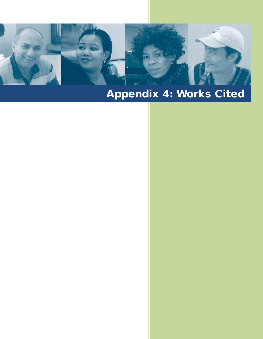

**464** Learning for LIFE: An ESL Literacy Handbook

## Appendix 4: Works Cited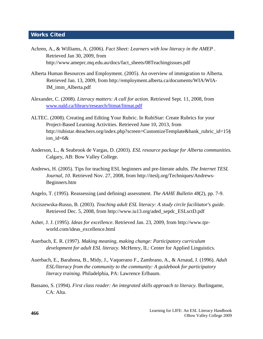## Works Cited

- Achren, A., & Williams, A. (2006). *Fact Sheet: Learners with low literacy in the AMEP .*  Retrieved Jan 30, 2009, from http://www.ameprc.mq.edu.au/docs/fact\_sheets/08Teachingissues.pdf
- Alberta Human Resources and Employment. (2005). An overview of immigration to Alberta. Retrieved Jan. 13, 2009, from http://employment.alberta.ca/documents/WIA/WIA-IM\_imm\_Alberta.pdf
- Alexander, C. (2008). *Literacy matters: A call for action.* Retrieved Sept. 11, 2008, from [www.nald.ca/library/research/litmat/litmat.pdf](http://www.nald.ca/library/research/litmat/litmat.pdf)
- ALTEC. (2008). Creating and Editing Your Rubric. In RubiStar: Create Rubrics for your Project-Based Learning Activities. Retrieved June 10, 2013, from http://rubistar.4teachers.org/index.php?screen=CustomizeTemplate&bank\_rubric\_id=15§ ion\_id=6&
- Anderson, L., & Seabrook de Vargas, D. (2003). *ESL resource package for Alberta communities.*  Calgary, AB: Bow Valley College.
- Andrews, H. (2005). Tips for teaching ESL beginners and pre-literate adults. *The Internet TESL Journal, 10*. Retrieved Nov. 27, 2008, from http://iteslj.org/Techniques/Andrews-Beginners.htm
- Angelo, T. (1995). Reassessing (and defining) assessment. *The AAHE Bulletin 48*(2), pp. 7-9.
- Arciszewska-Russo, B. (2003). *Teaching adult ESL literacy: A study circle facilitator's guide.*  Retrieved Dec. 5, 2008, from http://www.iu13.org/aded\_sepdc\_ESLsctD.pdf
- Asher, J. J. (1995). *Ideas for excellence*. Retrieved Jan. 23, 2009, from http://www.tprworld.com/ideas\_excellence.html
- Auerbach, E. R. (1997). *Making meaning, making change: Participatory curriculum development for adult ESL literacy.* McHenry, IL: Center for Applied Linguistics.
- Auerbach, E., Barahona, B., Midy, J., Vaquerano F., Zambrano, A., & Arnaud, J. (1996). *Adult ESL/literacy from the community to the community: A guidebook for participatory literacy training.* Philadelphia, PA: Lawrence Erlbaum.
- Bassano, S. (1994). *First class reader: An integrated skills approach to literacy.* Burlingame, CA: Alta.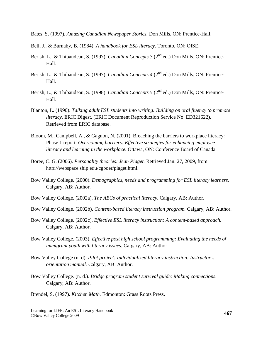Bates, S. (1997). *Amazing Canadian Newspaper Stories.* Don Mills, ON: Prentice-Hall.

- Bell, J., & Burnaby, B. (1984). *A handbook for ESL literacy.* Toronto, ON: OISE.
- Berish, L., & Thibaudeau, S. (1997). *Canadian Concepts 3* (2<sup>nd</sup> ed.) Don Mills, ON: Prentice-Hall.
- Berish, L., & Thibaudeau, S. (1997). *Canadian Concepts 4* (2<sup>nd</sup> ed.) Don Mills, ON: Prentice-Hall.
- Berish, L., & Thibaudeau, S. (1998). *Canadian Concepts 5* (2<sup>nd</sup> ed.) Don Mills, ON: Prentice-Hall.
- Blanton, L. (1990). *Talking adult ESL students into writing: Building on oral fluency to promote literacy.* ERIC Digest. (ERIC Document Reproduction Service No. ED321622). Retrieved from ERIC database.
- Bloom, M., Campbell, A., & Gagnon, N. (2001). Breaching the barriers to workplace literacy: Phase 1 report. *Overcoming barriers: Effective strategies for enhancing employee literacy and learning in the workplace.* Ottawa, ON: Conference Board of Canada.
- Boree, C. G. (2006). *Personality theories: Jean Piaget.* Retrieved Jan. 27, 2009, from http://webspace.ship.edu/cgboer/piaget.html.
- Bow Valley College. (2000). *Demographics, needs and programming for ESL literacy learners.*  Calgary, AB: Author.
- Bow Valley College. (2002a). *The ABCs of practical literacy*. Calgary, AB: Author.
- Bow Valley College. (2002b). *Content-based literacy instruction program.* Calgary, AB: Author.
- Bow Valley College. (2002c). *Effective ESL literacy instruction: A content-based approach*. Calgary, AB: Author.
- Bow Valley College. (2003). *Effective post high school programming: Evaluating the needs of immigrant youth with literacy issues.* Calgary, AB: Author
- Bow Valley College (n. d). *Pilot project: Individualized literacy instruction: Instructor's orientation manual.* Calgary, AB: Author.
- Bow Valley College. (n. d.). *Bridge program student survival guide: Making connections.*  Calgary, AB: Author.
- Brendel, S. (1997). *Kitchen Math.* Edmonton: Grass Roots Press.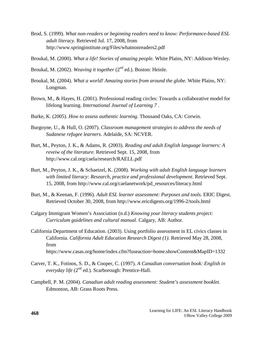- Brod, S. (1999). *What non-readers or beginning readers need to know: Performance-based ESL adult literacy.* Retrieved Jul. 17, 2008, from http://www.springinstitute.org/Files/whatnonreaders2.pdf
- Broukal, M. (2000). *What a life! Stories of amazing people.* White Plains, NY: Addison-Wesley.
- Broukal, M. (2002). *Weaving it together* (2<sup>nd</sup> ed.). Boston: Heinle.
- Broukal, M. (2004). *What a world! Amazing stories from around the globe.* White Plains, NY: Longman.
- Brown, M., & Hayes, H. (2001). Professional reading circles: Towards a collaborative model for lifelong learning. *International Journal of Learning 7* .
- Burke, K. (2005). *How to assess authentic learning.* Thousand Oaks, CA: Corwin.
- Burgoyne, U., & Hull, O. (2007). *Classroom management strategies to address the needs of Sudanese refugee learners.* Adelaide, SA: NCVER.
- Burt, M., Peyton, J. K., & Adams, R. (2003). *Reading and adult English language learners: A reveiw of the literature.* Retrieved Sept. 15, 2008, from http://www.cal.org/caela/research/RAELL.pdf
- Burt, M., Peyton, J. K., & Schaetzel, K. (2008). *Working with adult English language learners with limited literacy: Research, practice and professional development.* Retrieved Sept. 15, 2008, from http://www.cal.org/caelanetwork/pd\_resources/literacy.html
- Burt, M., & Keenan, F. (1996). *Adult ESL learner assessment: Purposes and tools.* ERIC Digest. Retrieved October 30, 2008, from http://www.ericdigests.org/1996-2/tools.html
- Calgary Immigrant Women's Association (n.d.) *Knowing your literacy students project: Curriculum guidelines and cultural manual.* Calgary, AB: Author.
- California Department of Education. (2003). Using portfolio assessment in EL civics classes in California. *California Adult Education Research Digest (1).* Retrieved May 28, 2008, from https://www.casas.org/home/index.cfm?fuseaction=home.showContent&MapID=1332
- Carver, T. K., Fotinos, S. D., & Cooper, C. (1997). *A Canadian conversation book: English in everyday life* (2nd ed.)*.* Scarborough: Prentice-Hall.
- Campbell, P. M. (2004). *Canadian adult reading assessment: Student's assessment booklet.*  Edmonton, AB: Grass Roots Press.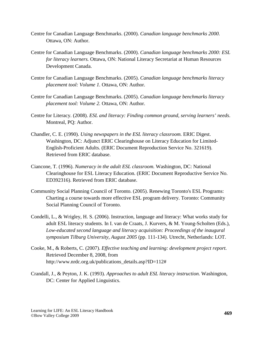- Centre for Canadian Language Benchmarks. (2000). *Canadian language benchmarks 2000.*  Ottawa, ON: Author.
- Centre for Canadian Language Benchmarks. (2000). *Canadian language benchmarks 2000: ESL for literacy learners.* Ottawa, ON: National Literacy Secretariat at Human Resources Development Canada.
- Centre for Canadian Language Benchmarks. (2005). *Canadian language benchmarks literacy placement tool: Volume 1.* Ottawa, ON: Author.
- Centre for Canadian Language Benchmarks. (2005). *Canadian language benchmarks literacy placement tool: Volume 2.* Ottawa, ON: Author.
- Centre for Literacy. (2008). *ESL and literacy: Finding common ground, serving learners' needs*. Montreal, PQ: Author.
- Chandler, C. E. (1990). *Using newspapers in the ESL literacy classroom.* ERIC Digest. Washington, DC: Adjunct ERIC Clearinghouse on Literacy Education for Limited-English-Proficient Adults. (ERIC Document Reproduction Service No. 321619). Retrieved from ERIC database.
- Ciancone, T. (1996). *Numeracy in the adult ESL classroom.* Washington, DC: National Clearinghouse for ESL Literacy Education*.* (ERIC Document Reproductive Service No. ED392316). Retrieved from ERIC database.
- Community Social Planning Council of Toronto. (2005). Renewing Toronto's ESL Programs: Charting a course towards more effective ESL program delivery. Toronto: Community Social Planning Council of Toronto.
- Condelli, L., & Wrigley, H. S. (2006). Instruction, language and literacy: What works study for adult ESL literacy students. In I. van de Craats, J. Kurvers, & M. Young-Scholten (Eds.), *Low-educated second language and literacy acquisition: Proceedings of the inaugural symposium Tilburg University, August 2005* (pp. 111-134). Utrecht, Netherlands: LOT.
- Cooke, M., & Roberts, C. (2007). *Effective teaching and learning: development project report.*  Retrieved December 8, 2008, from http://www.nrdc.org.uk/publications\_details.asp?ID=112#
- Crandall, J., & Peyton, J. K. (1993). *Approaches to adult ESL literacy instruction.* Washington, DC: Center for Applied Linguistics.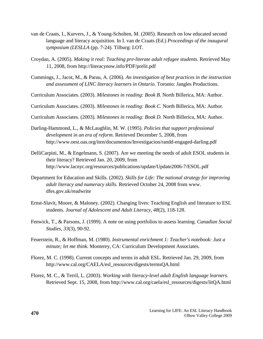- van de Craats, I., Kurvers, J., & Young-Scholten, M. (2005). Research on low educated second language and literacy acquisition. In I. van de Craats (Ed.) *Proceedings of the inaugural symposium (LESLLA* (pp. 7-24). Tilburg: LOT.
- Croydan, A. (2005). *Making it real: Teaching pre-literate adult refugee students.* Retrieved May 11, 2008, from http://literacynow.info/PDF/prelit.pdf
- Cummings, J., Jacot, M., & Parau, A. (2006). *An investigation of best practices in the instruction and assessment of LINC literacy learners in Ontario.* Toronto: Jangles Productions.
- Curriculum Associates. (2003). *Milestones in reading: Book B.* North Billerica, MA: Author.

Curriculum Associates. (2003). *Milestones in reading: Book C.* North Billerica, MA: Author.

Curriculum Associates. (2003). *Milestones in reading: Book D.* North Billerica, MA: Author.

- Darling-Hammond, L., & McLaughlin, M. W. (1995). *Policies that support professional development in an era of reform.* Retrieved December 5, 2008, from http://www.oest.oas.org/iten/documentos/Investigacion/randd-engaged-darling.pdf
- DelliCarpini, M., & Engelmann, S. (2007). Are we meeting the needs of adult ESOL students in their literacy? Retrieved Jan. 20, 2009, from http://www.lacnyc.org/resources/publications/update/Update2006-7/ESOL.pdf
- Department for Education and Skills. (2002). *Skills for Life: The national strategy for improving adult literacy and numeracy skills.* Retrieved October 24, 2008 from www. dfes.gov.uk/readwrite
- Ernst-Slavit, Moore, & Maloney. (2002). Changing lives: Teaching English and literature to ESL students. *Journal of Adolescent and Adult Literacy, 48*(2), 118-128.
- Fenwick, T., & Parsons, J. (1999). A note on using portfolios to assess learning. *Canadian Social Studies, 33*(3), 90-92.
- Feuerstein, R., & Hoffman, M. (1980). *Instrumental enrichment 1: Teacher's notebook: Just a minute; let me think.* Monterey, CA: Curriculum Development Associates.
- Florez, M. C. (1998). Current concepts and terms in adult ESL. Retrieved Jan. 29, 2009, from http://www.cal.org/CAELA/esl\_resources/digests/termsQA.html
- Florez, M. C., & Terril, L. (2003). *Working with literacy-level adult English language learners.*  Retrieved Sept. 15, 2008, from http://www.cal.org/caela/esl\_resources/digests/litQA.html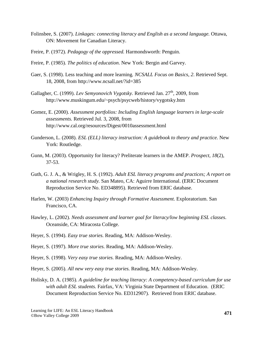- Folinsbee, S. (2007). *Linkages: connecting literacy and English as a second language.* Ottawa, ON: Movement for Canadian Literacy.
- Freire, P. (1972). *Pedagogy of the oppressed.* Harmondsworth: Penguin.
- Freire, P. (1985). *The politics of education*. New York: Bergin and Garvey.
- Gaer, S. (1998). Less teaching and more learning*. NCSALL Focus on Basics*, *2*. Retrieved Sept. 18, 2008, from http://www.ncsall.net/?id=385
- Gallagher, C. (1999). *Lev Semyonovich Vygotsky*. Retrieved Jan. 27<sup>th</sup>, 2009, from http://www.muskingum.edu/~psych/psycweb/history/vygotsky.htm
- Gomez, E. (2000). *Assessment portfolios: Including English language learners in large-scale assessments.* Retrieved Jul. 3, 2008, from http://www.cal.org/resources/Digest/0010assessment.html
- Gunderson, L. (2008). *ESL (ELL) literacy instruction: A guidebook to theory and practice.* New York: Routledge.
- Gunn, M. (2003). Opportunity for literacy? Preliterate learners in the AMEP. *Prospect, 18*(2), 37-53.
- Guth, G. J. A., & Wrigley, H. S. (1992). *Adult ESL literacy programs and practices; A report on a national research study.* San Mateo, CA: Aguirre International. (ERIC Document Reproduction Service No. ED348895). Retrieved from ERIC database.
- Harlen, W. (2003) *Enhancing Inquiry through Formative Assessment.* Exploratorium. San Francisco, CA.
- Hawley, L. (2002). *Needs assessment and learner goal for literacy/low beginning ESL classes*. Oceanside, CA: Miracosta College.
- Heyer, S. (1994). *Easy true stories.* Reading, MA: Addison-Wesley.
- Heyer, S. (1997). *More true stories.* Reading, MA: Addison-Wesley.
- Heyer, S. (1998). *Very easy true stories.* Reading, MA: Addison-Wesley.
- Heyer, S. (2005). *All new very easy true stories.* Reading, MA: Addison-Wesley.
- Holisky, D. A. (1985). *A guideline for teaching literacy: A competency-based curriculum for use with adult ESL students.* Fairfax, VA: Virginia State Department of Education. (ERIC Document Reproduction Service No. ED312907). Retrieved from ERIC database.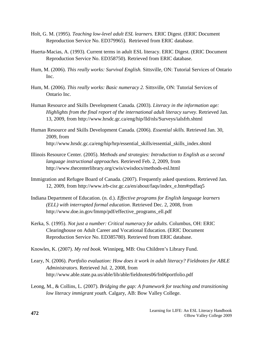- Holt, G. M. (1995). *Teaching low-level adult ESL learners.* ERIC Digest. (ERIC Document Reproduction Service No. ED379965). Retrieved from ERIC database.
- Huerta-Macias, A. (1993). Current terms in adult ESL literacy. ERIC Digest. (ERIC Document Reproduction Service No. ED358750). Retrieved from ERIC database.
- Hum, M. (2006). *This really works: Survival English.* Sittsville, ON: Tutorial Services of Ontario Inc.
- Hum, M. (2006). *This really works: Basic numeracy 2.* Sittsville, ON: Tutorial Services of Ontario Inc.
- Human Resource and Skills Development Canada. (2003). *Literacy in the information age: Highlights from the final report of the international adult literacy survey*. Retrieved Jan. 13, 2009, from http://www.hrsdc.gc.ca/eng/hip/lld/nls/Surveys/ialsfrh.shtml
- Human Resource and Skills Development Canada. (2006). *Essential skills.* Retrieved Jan. 30, 2009, from http://www.hrsdc.gc.ca/eng/hip/hrp/essential\_skills/essential\_skills\_index.shtml
- Illinois Resource Center. (2005). *Methods and strategies: Introduction to English as a second language instructional approaches.* Retrieved Feb. 2, 2009, from http://www.thecenterlibrary.org/cwis/cwisdocs/methods-esl.html
- Immigration and Refugee Board of Canada. (2007). Frequently asked questions. Retrieved Jan. 12, 2009, from http://www.irb-cisr.gc.ca/en/about/faqs/index\_e.htm#rpdfaq5
- Indiana Department of Education. (n. d.). *Effective programs for English language learners (ELL) with interrupted formal education*. Retrieved Dec. 2, 2008, from http://www.doe.in.gov/lmmp/pdf/effective\_programs\_ell.pdf
- Kerka, S. (1995). *Not just a number: Critical numeracy for adults.* Columbus, OH: ERIC Clearinghouse on Adult Career and Vocational Education. (ERIC Document Reproduction Service No. ED385780). Retrieved from ERIC database.
- Knowles, K. (2007). *My red book.* Winnipeg, MB: Osu Children's Library Fund.
- Leary, N. (2006). *Portfolio evaluation: How does it work in adult literacy? Fieldnotes for ABLE Administrators.* Retrieved Jul. 2, 2008, from http://www.able.state.pa.us/able/lib/able/fieldnotes06/fn06portfolio.pdf
- Leong, M., & Collins, L. (2007). *Bridging the gap: A framework for teaching and transitioning low literacy immigrant youth.* Calgary, AB: Bow Valley College.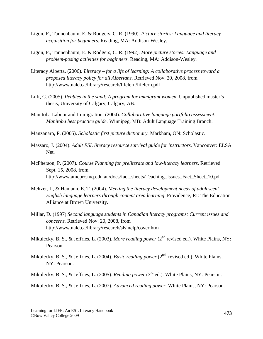- Ligon, F., Tannenbaum, E. & Rodgers, C. R. (1990). *Picture stories: Language and literacy acquisition for beginners.* Reading, MA: Addison-Wesley.
- Ligon, F., Tannenbaum, E. & Rodgers, C. R. (1992). *More picture stories: Language and problem-posing activities for beginners.* Reading, MA: Addison-Wesley.
- Literacy Alberta. (2006). *Literacy – for a life of learning: A collaborative process toward a proposed literacy policy for all Albertans*. Retrieved Nov. 20, 2008, from http://www.nald.ca/library/research/lifelern/lifelern.pdf
- Luft, C. (2005). *Pebbles in the sand: A program for immigrant women.* Unpublished master's thesis, University of Calgary, Calgary, AB.
- Manitoba Labour and Immigration. (2004). *Collaborative language portfolio assessment: Manitoba best practice guide.* Winnipeg, MB: Adult Language Training Branch.
- Manzanaro, P. (2005). *Scholastic first picture dictionary.* Markham, ON: Scholastic.
- Massaro, J. (2004). *Adult ESL literacy resource survival guide for instructors.* Vancouver: ELSA Net.
- McPherson, P. (2007). *Course Planning for preliterate and low-literacy learners.* Retrieved Sept. 15, 2008, from http://www.ameprc.mq.edu.au/docs/fact\_sheets/Teaching\_Issues\_Fact\_Sheet\_10.pdf
- Meltzer, J., & Hamann, E. T. (2004). *Meeting the literacy development needs of adolescent English language learners through content area learning.* Providence, RI: The Education Alliance at Brown University.
- Millar, D. (1997) *Second language students in Canadian literacy programs: Current issues and concerns.* Retrieved Nov. 20, 2008, from http://www.nald.ca/library/research/slsinclp/cover.htm
- Mikulecky, B. S., & Jeffries, L. (2003). *More reading power* (2<sup>nd</sup> revised ed.). White Plains, NY: Pearson.
- Mikulecky, B. S., & Jeffries, L. (2004). *Basic reading power* (2<sup>nd</sup> revised ed.). White Plains, NY: Pearson.
- Mikulecky, B. S., & Jeffries, L. (2005). *Reading power* (3rd ed.). White Plains, NY: Pearson.

Mikulecky, B. S., & Jeffries, L. (2007). *Advanced reading power*. White Plains, NY: Pearson.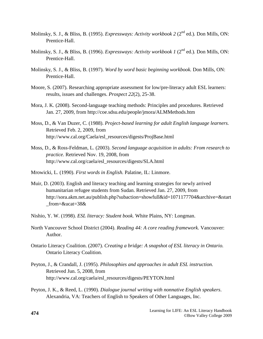- Molinsky, S. J., & Bliss, B. (1995). *Expressways: Activity workbook 2* (2<sup>nd</sup> ed.). Don Mills, ON: Prentice-Hall.
- Molinsky, S. J., & Bliss, B. (1996). *Expressways: Activity workbook 1* (2<sup>nd</sup> ed.). Don Mills, ON: Prentice-Hall.
- Molinsky, S. J., & Bliss, B. (1997). *Word by word basic beginning workbook.* Don Mills, ON: Prentice-Hall.
- Moore, S. (2007). Researching appropriate assessment for low/pre-literacy adult ESL learners: results, issues and challenges. *Prospect 22*(2), 25-38.
- Mora, J. K. (2008). Second-language teaching methods: Principles and procedures. Retrieved Jan. 27, 2009, from http://coe.sdsu.edu/people/jmora/ALMMethods.htm
- Moss, D., & Van Duzer, C. (1988). *Project-based learning for adult English language learners.* Retrieved Feb. 2, 2009, from http://www.cal.org/Caela/esl\_resources/digests/ProjBase.html
- Moss, D., & Ross-Feldman, L. (2003). *Second language acquisition in adults: From research to practice.* Retrieved Nov. 19, 2008, from http://www.cal.org/caela/esl\_resources/digests/SLA.html
- Mrowicki, L. (1990). *First words in English.* Palatine, IL: Linmore.
- Muir, D. (2003). English and literacy teaching and learning strategies for newly arrived humanitarian refugee students from Sudan. Retrieved Jan. 27, 2009, from http://sora.akm.net.au/publish.php?subaction=showfull&id=1071177704&archive=&start \_from=&ucat=38&
- Nishio, Y. W. (1998). *ESL literacy: Student book.* White Plains, NY: Longman.
- North Vancouver School District (2004). *Reading 44: A core reading framework.* Vancouver: Author.
- Ontario Literacy Coalition. (2007). *Creating a bridge: A snapshot of ESL literacy in Ontario.*  Ontario Literacy Coalition.
- Peyton, J., & Crandall, J. (1995). *Philosophies and approaches in adult ESL instruction.*  Retrieved Jun. 5, 2008, from http://www.cal.org/caela/esl\_resources/digests/PEYTON.html
- Peyton, J. K., & Reed, L. (1990). *Dialogue journal writing with nonnative English speakers*. Alexandria, VA: Teachers of English to Speakers of Other Languages, Inc.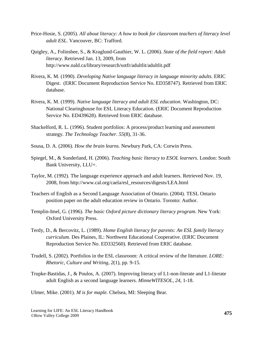- Price-Hosie, S. (2005). *All about literacy: A how to book for classroom teachers of literacy level adult ESL.* Vancouver, BC: Trafford.
- Quigley, A., Folinsbee, S., & Kraglund-Gauthier, W. L. (2006). *State of the field report: Adult literacy.* Retrieved Jan. 13, 2009, from http://www.nald.ca/library/research/sotfr/adultlit/adultlit.pdf
- Rivera, K. M. (1990). *Developing Native language literacy in language minority adults.* ERIC Digest. (ERIC Document Reproduction Service No. ED358747). Retrieved from ERIC database.
- Rivera, K. M. (1999). *Native language literacy and adult ESL education.* Washington, DC: National Clearinghouse for ESL Literacy Education. (ERIC Document Reproduction Service No. ED439628). Retrieved from ERIC database.
- Shackelford, R. L. (1996). Student portfolios: A process/product learning and assessment strategy. *The Technology Teacher. 55*(8), 31-36.
- Sousa, D. A. (2006). *How the brain learns.* Newbury Park, CA: Corwin Press.
- Spiegel, M., & Sunderland, H. (2006). *Teaching basic literacy to ESOL learners*. London: South Bank University, LLU+.
- Taylor, M. (1992). The language experience approach and adult learners. Retrieved Nov. 19, 2008, from http://www.cal.org/caela/esl\_resources/digests/LEA.html
- Teachers of English as a Second Language Association of Ontario. (2004). TESL Ontario position paper on the adult education review in Ontario. Toronto: Author.
- Templin-Imel, G. (1996). *The basic Oxford picture dictionary literacy program*. New York: Oxford University Press.
- Terdy, D., & Bercovitz, L. (1989). *Home English literacy for parents: An ESL family literacy curriculum.* Des Plaines, IL: Northwest Educational Cooperative. (ERIC Document Reproduction Service No. ED332560). Retrieved from ERIC database.
- Trudell, S. (2002). Portfolios in the ESL classroom: A critical review of the literature*. LORE: Rhetoric, Culture and Writing, 2*(1), pp. 9-15.
- Trupke-Bastidas, J., & Poulos, A. (2007). Improving literacy of L1-non-literate and L1-literate adult English as a second language learners. *MinneWITESOL, 24*, 1-18.

Ulmer, Mike. (2001). *M is for maple.* Chelsea, MI: Sleeping Bear.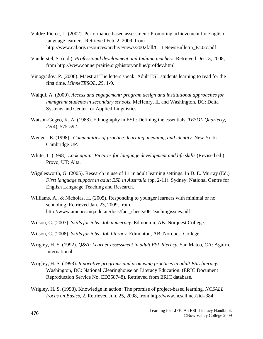- Valdez Pierce, L. (2002). Performance based assessment: Promoting achievement for English language learners*.* Retrieved Feb. 2, 2009, from http://www.cal.org/resources/archive/news/2002fall/CLLNewsBulletin\_Fa02c.pdf
- Vanderstel, S. (n.d.). *Professional development and Indiana teachers.* Retrieved Dec. 3, 2008, from http://www.connerprairie.org/historyonline/profdev.html
- Vinogradov, P. (2008). Maestra! The letters speak: Adult ESL students learning to read for the first time. *MinneTESOL, 25*, 1-9.
- Walqui, A. (2000). *Access and engagement: program design and institutional approaches for immigrant students in secondary schools.* McHenry, IL and Washington, DC: Delta Systems and Center for Applied Linguistics.
- Watson-Gegeo, K. A. (1988). Ethnography in ESL: Defining the essentials. *TESOL Quarterly, 22*(4), 575-592.
- Wenger, E. (1998). *Communities of practice: learning, meaning, and identity.* New York: Cambridge UP.
- White, T. (1998). *Look again: Pictures for language development and life skills* (Revised ed.). Provo, UT: Alta.
- Wigglesworth, G. (2005). Research in use of L1 in adult learning settings. In D. E. Murray (Ed.) *First language support in adult ESL in Australia* (pp. 2-11). Sydney: National Centre for English Language Teaching and Research.
- Williams, A., & Nicholas, H. (2005). Responding to younger learners with minimal or no schooling. Retrieved Jan. 23, 2009, from http://www.ameprc.mq.edu.au/docs/fact\_sheets/06Teachingissues.pdf
- Wilson, C. (2007). *Skills for jobs: Job numeracy*. Edmonton, AB: Norquest College.
- Wilson, C. (2008). *Skills for jobs: Job literacy*. Edmonton, AB: Norquest College.
- Wrigley, H. S. (1992). *Q&A: Learner assessment in adult ESL literacy.* San Mateo, CA: Aguirre International.
- Wrigley, H. S. (1993). *Innovative programs and promising practices in adult ESL literacy*. Washington, DC: National Clearinghouse on Literacy Education. (ERIC Document Reproduction Service No. ED358748). Retrieved from ERIC database.
- Wrigley, H. S. (1998). Knowledge in action: The promise of project-based learning*. NCSALL Focus on Basics*, 2. Retrieved Jun. 25, 2008, from http://www.ncsall.net/?id=384